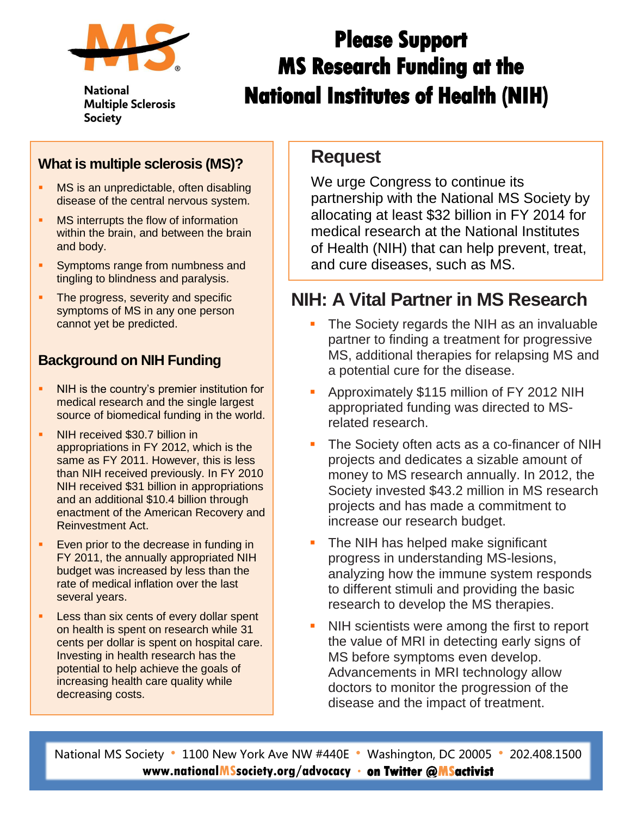

**National Multiple Sclerosis Society** 

# **Please Support MS Research Funding at the National Institutes of Health (NIH)**

#### **What is multiple sclerosis (MS)?**

- **MS** is an unpredictable, often disabling disease of the central nervous system.
- **MS** interrupts the flow of information within the brain, and between the brain and body.
- **Symptoms range from numbness and** tingling to blindness and paralysis.
- The progress, severity and specific symptoms of MS in any one person cannot yet be predicted.

#### **Background on NIH Funding**

- NIH is the country's premier institution for medical research and the single largest source of biomedical funding in the world.
- NIH received \$30.7 billion in appropriations in FY 2012, which is the same as FY 2011. However, this is less than NIH received previously. In FY 2010 NIH received \$31 billion in appropriations and an additional \$10.4 billion through enactment of the American Recovery and Reinvestment Act.
- **Even prior to the decrease in funding in** FY 2011, the annually appropriated NIH budget was increased by less than the rate of medical inflation over the last several years.
- **Less than six cents of every dollar spent** on health is spent on research while 31 cents per dollar is spent on hospital care. Investing in health research has the potential to help achieve the goals of increasing health care quality while decreasing costs.

### **Request**

We urge Congress to continue its partnership with the National MS Society by allocating at least \$32 billion in FY 2014 for medical research at the National Institutes of Health (NIH) that can help prevent, treat, and cure diseases, such as MS.

## **NIH: A Vital Partner in MS Research**

- The Society regards the NIH as an invaluable partner to finding a treatment for progressive MS, additional therapies for relapsing MS and a potential cure for the disease.
- Approximately \$115 million of FY 2012 NIH appropriated funding was directed to MSrelated research.
- The Society often acts as a co-financer of NIH projects and dedicates a sizable amount of money to MS research annually. In 2012, the Society invested \$43.2 million in MS research projects and has made a commitment to increase our research budget.
- The NIH has helped make significant progress in understanding MS-lesions, analyzing how the immune system responds to different stimuli and providing the basic research to develop the MS therapies.
- NIH scientists were among the first to report the value of MRI in detecting early signs of MS before symptoms even develop. Advancements in MRI technology allow doctors to monitor the progression of the disease and the impact of treatment.

National MS Society • 1100 New York Ave NW #440E • Washington, DC 20005 • 202.408.1500 **www.nationalMSsociety.org/advocacy on Twitter @MSactivist**